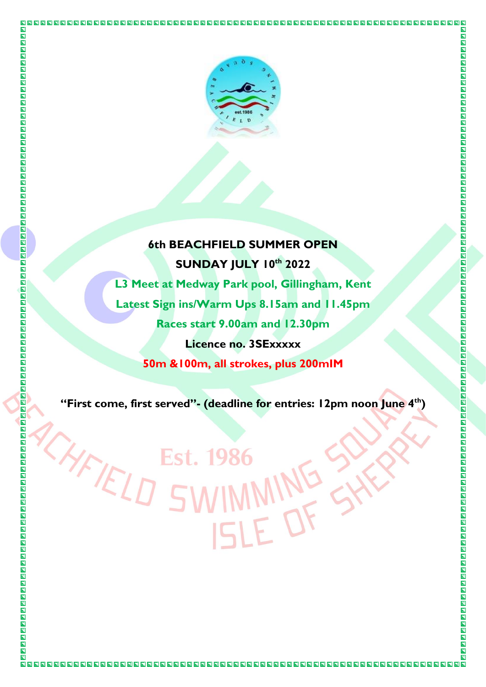

 $\overline{\blacksquare}$ 

 $\overline{\blacksquare}$ 

同

 $\blacksquare$  $\overline{\mathbf{N}}$ 

 $\overline{\blacksquare}$  $\overline{\blacksquare}$  $\overline{\blacksquare}$ 

回

CHFIELD

## **6th BEACHFIELD SUMMER OPEN SUNDAY JULY 10th 2022**

**L3 Meet at Medway Park pool, Gillingham, Kent Latest Sign ins/Warm Ups 8.15am and 11.45pm Races start 9.00am and 12.30pm Licence no. 3SExxxxx 50m &100m, all strokes, plus 200mIM**

**"First come, first served"- (deadline for entries: 12pm noon June 4 th)**

Est. 198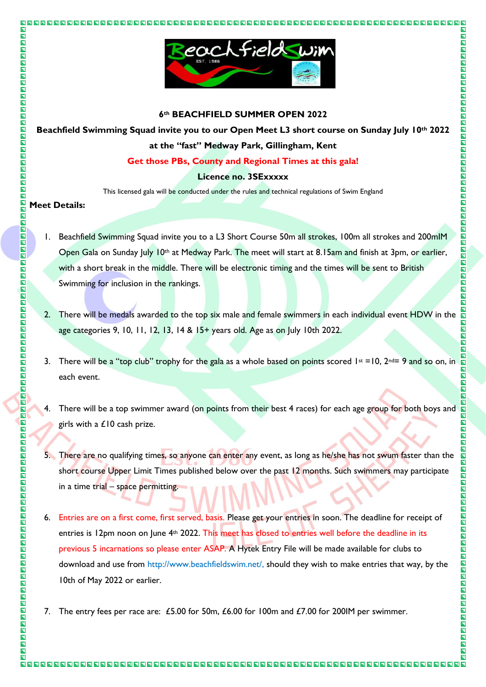

### **6th BEACHFIELD SUMMER OPEN 2022**

**Beachfield Swimming Squad invite you to our Open Meet L3 short course on Sunday July 10th 2022 at the "fast" Medway Park, Gillingham, Kent**

### **Get those PBs, County and Regional Times at this gala!**

### **Licence no. 3SExxxxx**

This licensed gala will be conducted under the rules and technical regulations of Swim England

### **Meet Details:**

 $\overline{\mathbf{L}}$ 

 $\overline{\mathbf{u}}$ 

OOOO

 $\bar{\mathbf{z}}$  $\overline{\mathbf{E}}$  $\overline{\blacksquare}$  $\overline{\mathbf{z}}$ 

 $\blacksquare$ 

 $\overline{\mathbf{p}}$ 

靣  $\overline{\blacksquare}$  $\blacksquare$ 

 $\overline{\mathbf{z}}$ ם<br>מ  $\Box$  $\Box$ 同

四四四四

 $\blacksquare$ 

INDI 同

INDER

**RARA ARA** 

 $\overline{\blacksquare}$ 

 $\blacksquare$ 

 $\blacksquare$ 口口口口

 $\overline{\blacksquare}$  $\overline{\blacksquare}$  $\overline{\mathbf{B}}$ 

 $\overline{\blacksquare}$ 

 $\overline{\mathbf{u}}$ 

OOOO

 $\blacksquare$  $\blacksquare$ 

OOOO

 $\blacksquare$ 

 $\blacksquare$ 

OOOO

 $\overline{\mathbf{z}}$ 

 $\overline{\blacksquare}$ 

 $\mathbf{E}$ 

- 1. Beachfield Swimming Squad invite you to a L3 Short Course 50m all strokes, 100m all strokes and 200mlM Open Gala on Sunday July 10th at Medway Park. The meet will start at 8.15am and finish at 3pm, or earlier, with a short break in the middle. There will be electronic timing and the times will be sent to British Swimming for inclusion in the rankings.
- 2. There will be medals awarded to the top six male and female swimmers in each individual event HDW in the age categories 9, 10, 11, 12, 13, 14 & 15+ years old. Age as on July 10th 2022.
- 3. There will be a "top club" trophy for the gala as a whole based on points scored  $1st = 10$ ,  $2nd = 9$  and so on, in each event.
- 4. There will be a top swimmer award (on points from their best 4 races) for each age group for both boys and girls with a £10 cash prize.
- 5. There are no qualifying times, so anyone can enter any event, as long as he/she has not swum faster than the short course Upper Limit Times published below over the past 12 months. Such swimmers may participate in a time trial – space permitting.
- 6. Entries are on a first come, first served, basis. Please get your entries in soon. The deadline for receipt of entries is 12pm noon on June 4<sup>th</sup> 2022. This meet has closed to entries well before the deadline in its previous 5 incarnations so please enter ASAP. A Hytek Entry File will be made available for clubs to download and use from http://www.beachfieldswim.net/, should they wish to make entries that way, by the 10th of May 2022 or earlier.
- 7. The entry fees per race are: £5.00 for 50m, £6.00 for 100m and £7.00 for 200IM per swimmer.

 $\overline{\mathbf{N}}$  $\overline{\mathbf{z}}$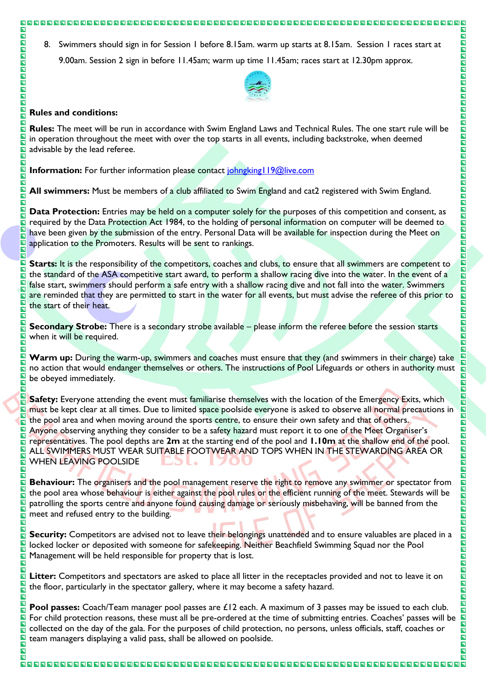### 888888888888

8. Swimmers should sign in for Session 1 before 8.15am. warm up starts at 8.15am. Session 1 races start at 9.00am. Session 2 sign in before 11.45am; warm up time 11.45am; races start at 12.30pm approx.



 $\blacksquare$  $\overline{\mathbf{z}}$ 

**NAGAZIA** 

**OOOOOOOOOOO** 

0000000000

 $\blacksquare$ 

 $\Box$ 

OO

**NAGARI** 

 $\overline{\mathbf{E}}$ 

**ND** 

同

 $\overline{\mathbf{z}}$ 

 $\blacksquare$  $\overline{\blacksquare}$ 

E

 $\blacksquare$ 

 $\overline{\mathbf{z}}$  $\overline{\mathbf{z}}$ ENN

 $\blacksquare$ 

同国

 $\overline{\mathbf{z}}$ 

 $\blacksquare$ 

OOOO

 $\overline{\mathbf{p}}$ 

 $\overline{\blacksquare}$ 

N N N N N N N N

 $\overline{\mathbf{L}}$  $\blacksquare$ 

OOOOO

 $\overline{\blacksquare}$ 

同

 $\overline{\mathbf{N}}$ 

### **Rules and conditions:**

 $\overline{\mathbf{N}}$ 

 $\overline{\mathbf{z}}$  $\overline{\mathbf{z}}$ <u>ія</u><br>П

靣 靣  $\blacksquare$  $\overline{\mathbf{N}}$  $\overline{\blacksquare}$  $\overline{\blacksquare}$  $\overline{\mathbf{z}}$ 

囗  $\overline{\mathbf{N}}$  $\blacksquare$  $\frac{\square}{\square}$  $\overline{\mathbf{n}}$  $\overline{\mathbf{N}}$ 回

 $\overline{\blacksquare}$ 

回  $\overline{\mathbf{z}}$  $\overline{\mathbf{N}}$ <u>ія</u>  $\Box$ 同

 $\blacksquare$ 

 $\blacksquare$ 

E

同  $\overline{\mathbf{N}}$ Æ

回 N

 $\overline{\mathbf{N}}$ 

 $\overline{\mathbf{z}}$  $\blacksquare$ 

<u>и</u><br>Д  $\overline{\mathbf{N}}$ 

 $\overline{\mathbf{N}}$ 

圆  $\blacksquare$ 

 $\overline{\blacksquare}$ 

 $\blacksquare$ 

 $\Box$ 

 $\overline{\mathbf{N}}$ 同 同

 $\overline{\mathbf{z}}$  $\overline{\mathbf{N}}$ 

ត

 $\overline{\mathbf{N}}$ 

 $\Box$ 

回  $\overline{\mathbf{N}}$ 囗 同  $\overline{\blacksquare}$ 

 $\bar{\mathbf{z}}$ 

 $\overline{\mathbf{z}}$ 

回  $\overline{\mathbf{N}}$ 

 $\blacksquare$ 

 $\blacksquare$ 

回  $\blacksquare$  $\overline{\mathbf{N}}$  $\overline{\mathbf{N}}$  $\overline{\mathbf{N}}$ 同

同

 $\overline{\mathbf{N}}$ 

同

**Rules:** The meet will be run in accordance with Swim England Laws and Technical Rules. The one start rule will be in operation throughout the meet with over the top starts in all events, including backstroke, when deemed advisable by the lead referee.

**Information:** For further information please contact johngking 19@live.com

**All swimmers:** Must be members of a club affiliated to Swim England and cat2 registered with Swim England.

**Data Protection:** Entries may be held on a computer solely for the purposes of this competition and consent, as required by the Data Protection Act 1984, to the holding of personal information on computer will be deemed to have been given by the submission of the entry. Personal Data will be available for inspection during the Meet on application to the Promoters. Results will be sent to rankings.

Starts: It is the responsibility of the competitors, coaches and clubs, to ensure that all swimmers are competent to the standard of the ASA competitive start award, to perform a shallow racing dive into the water. In the event of a false start, swimmers should perform a safe entry with a shallow racing dive and not fall into the water. Swimmers are reminded that they are permitted to start in the water for all events, but must advise the referee of this prior to the start of their heat.

**Secondary Strobe:** There is a secondary strobe available – please inform the referee before the session starts when it will be required.

**Warm up:** During the warm-up, swimmers and coaches must ensure that they (and swimmers in their charge) take no action that would endanger themselves or others. The instructions of Pool Lifeguards or others in authority must be obeyed immediately.

**Safety:** Everyone attending the event must familiarise themselves with the location of the Emergency Exits, which must be kept clear at all times. Due to limited space poolside everyone is asked to observe all normal precautions in the pool area and when moving around the sports centre, to ensure their own safety and that of others. Anyone observing anything they consider to be a safety hazard must report it to one of the Meet Organiser's representatives. The pool depths are **2m** at the starting end of the pool and **1.10m** at the shallow end of the pool. ALL SWIMMERS MUST WEAR SUITABLE FOOTWEAR AND TOPS WHEN IN THE STEWARDING AREA OR WHEN LEAVING POOLSIDE

**Behaviour:** The organisers and the pool management reserve the right to remove any swimmer or spectator from the pool area whose behaviour is either against the pool rules or the efficient running of the meet. Stewards will be patrolling the sports centre and anyone found causing damage or seriously misbehaving, will be banned from the meet and refused entry to the building.

**Security:** Competitors are advised not to leave their belongings unattended and to ensure valuables are placed in a locked locker or deposited with someone for safekeeping. Neither Beachfield Swimming Squad nor the Pool Management will be held responsible for property that is lost.

**Litter:** Competitors and spectators are asked to place all litter in the receptacles provided and not to leave it on the floor, particularly in the spectator gallery, where it may become a safety hazard.

**Pool passes:** Coach/Team manager pool passes are £12 each. A maximum of 3 passes may be issued to each club. For child protection reasons, these must all be pre-ordered at the time of submitting entries. Coaches' passes will be collected on the day of the gala. For the purposes of child protection, no persons, unless officials, staff, coaches or team managers displaying a valid pass, shall be allowed on poolside.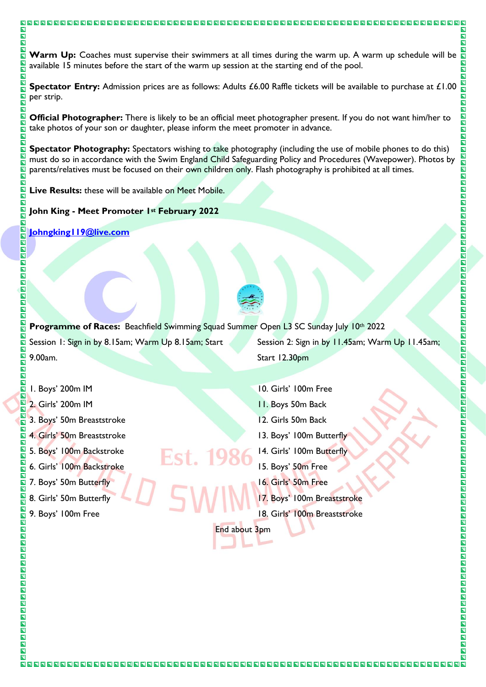### **Warm Up:** Coaches must supervise their swimmers at all times during the warm up. A warm up schedule will be **n** available 15 minutes before the start of the warm up session at the starting end of the pool.

**Spectator Entry:** Admission prices are as follows: Adults £6.00 Raffle tickets will be available to purchase at £1.00 per strip.

**Official Photographer:** There is likely to be an official meet photographer present. If you do not want him/her to take photos of your son or daughter, please inform the meet promoter in advance.

**Spectator Photography:** Spectators wishing to take photography (including the use of mobile phones to do this) must do so in accordance with the Swim England Child Safeguarding Policy and Procedures (Wavepower). Photos by parents/relatives must be focused on their own children only. Flash photography is prohibited at all times.

**Live Results:** these will be available on Meet Mobile.

000000000000000000000000000000

**John King - Meet Promoter 1st February 2022**

**[Johngking119@live.com](mailto:Johngking119@live.com)**

 $\overline{\mathbf{N}}$ 

 $\overline{\mathbf{z}}$ 

 $\overline{\mathbf{N}}$  $\overline{\mathbf{N}}$  $\overline{\mathbf{N}}$ 盲

同  $\overline{\mathbf{N}}$ 

 $\overline{\mathbf{N}}$  $\overline{\mathbf{z}}$  $\overline{\blacksquare}$ 

 $\overline{\mathbf{z}}$ 

回  $\overline{\mathbf{N}}$ N<br>N  $\overline{\mathbf{N}}$  $\overline{\mathbf{n}}$ 同 回

 $\overline{\mathbf{z}}$  $\overline{\mathbf{N}}$ 

回  $\overline{\blacksquare}$ OO 同 同

四四四四

 $\blacksquare$ 

OOO 同

 $\blacksquare$ 靣  $\overline{\mathbf{E}}$  $\overline{\mathbf{z}}$  $\overline{\blacksquare}$ 

OOO  $\overline{\blacksquare}$ 靣 靣

 $\overline{\mathbf{z}}$  $\overline{\mathbf{a}}$  $\overline{\mathbf{z}}$ 

 $\blacksquare$ 

 $\overline{\mathbf{a}}$ 

 $\overline{\mathbf{B}}$ 同 靣  $\overline{\mathbf{r}}$  $\overline{\mathbf{z}}$ 

 $\overline{\mathbf{z}}$  $\overline{\mathbf{E}}$  $\overline{\blacksquare}$ 

 $\overline{\mathbf{N}}$ 

回

 $\overline{\mathbf{N}}$ <u>л</u><br>П  $\overline{\mathbf{N}}$  $\overline{\blacksquare}$  $\overline{\blacksquare}$ 

O O O O O O O

 $\overline{\blacksquare}$  $\overline{\blacksquare}$ 

 $\overline{\blacksquare}$ 



**Programme of Races:** Beachfield Swimming Squad Summer Open L3 SC Sunday July 10th 2022

Fst. 19

Session 1: Sign in by 8.15am; Warm Up 8.15am; Start 9.00am.

Start 12.30pm

Session 2: Sign in by 11.45am; Warm Up 11.45am;

- 1. Boys' 200m IM
- 2. Girls' 200m IM
- 3. Boys' 50m Breaststroke
- 4. Girls' 50m Breaststroke
- 5. Boys' 100m Backstroke
- 6. Girls' 100m Backstroke
- 7. Boys' 50m Butterfly
- 8. Girls' 50m Butterfly
- 9. Boys' 100m Free
- 10. Girls' 100m Free
- 11. Boys 50m Back
- 12. Girls 50m Back
- 13. Boys' 100m Butterfly
- 14. Girls' 100m Butterfly
- 15. Boys' 50m Free
- 16. Girls' 50m Free
- 17. Boys' 100m Breaststroke
- 18. Girls' 100m Breaststroke

End about 3pm

 $\overline{\mathbf{N}}$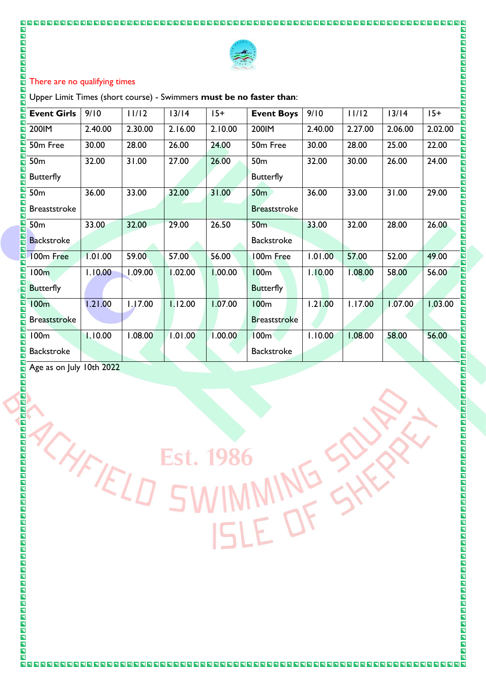

### There are no qualifying times

| $\Box$<br>回<br>回<br>$\overline{\mathbf{z}}$                               |                                                                          |         |         |         |                     |         |         |         |                                                                        |
|---------------------------------------------------------------------------|--------------------------------------------------------------------------|---------|---------|---------|---------------------|---------|---------|---------|------------------------------------------------------------------------|
| $\overline{\mathbf{z}}$<br>$\overline{\mathbf{z}}$                        |                                                                          |         |         |         |                     |         |         |         |                                                                        |
| $\Box$<br>$\overline{\mathbf{n}}$<br>囗                                    | There are no qualifying times<br>$\overline{\mathbf{z}}$<br>圓            |         |         |         |                     |         |         |         |                                                                        |
| $\overline{\mathbf{N}}$                                                   | Upper Limit Times (short course) - Swimmers must be no faster than:<br>回 |         |         |         |                     |         |         |         |                                                                        |
| 口口<br><b>Event Girls</b>                                                  | 9/10                                                                     | 11/12   | $13/14$ | $15+$   | <b>Event Boys</b>   | 9/10    | 11/12   | $13/14$ | $15+$<br>回                                                             |
| OOO<br>200IM                                                              | 2.40.00                                                                  | 2.30.00 | 2.16.00 | 2.10.00 | 200IM               | 2.40.00 | 2.27.00 | 2.06.00 | 2.02.00<br>$\overline{\mathbf{u}}$<br>$\overline{\mathbf{z}}$          |
| <u>ы</u><br>П<br>50m Free                                                 | 30.00                                                                    | 28.00   | 26.00   | 24.00   | 50m Free            | 30.00   | 28.00   | 25.00   | 回回<br>22.00                                                            |
| $\overline{\blacksquare}$<br>50 <sub>m</sub>                              | 32.00                                                                    | 31.00   | 27.00   | 26.00   | 50 <sub>m</sub>     | 32.00   | 30.00   | 26.00   | $\overline{\mathbf{u}}$<br>24.00<br>$\overline{\mathbf{z}}$            |
| EE<br><b>Butterfly</b>                                                    |                                                                          |         |         |         | <b>Butterfly</b>    |         |         |         | $\overline{\mathbf{u}}$<br>$\overline{\mathbf{u}}$                     |
| $\overline{\mathbf{u}}$<br>50 <sub>m</sub>                                | 36.00                                                                    | 33.00   | 32.00   | 31.00   | 50 <sub>m</sub>     | 36.00   | 33.00   | 31.00   | 口口<br>29.00<br>$\overline{\mathbf{N}}$                                 |
| $\overline{\mathbf{B}}$<br><b>Breaststroke</b><br>$\overline{\mathbf{z}}$ |                                                                          |         |         |         | <b>Breaststroke</b> |         |         |         | $\overline{\mathbf{N}}$<br>$\overline{\mathbf{u}}$                     |
| E<br>50 <sub>m</sub>                                                      | 33.00                                                                    | 32.00   | 29.00   | 26.50   | <b>50m</b>          | 33.00   | 32.00   | 28.00   | N<br>N<br>N<br>26.00                                                   |
| 口口<br><b>Backstroke</b><br>$\bar{\mathbf{z}}$                             |                                                                          |         |         |         | <b>Backstroke</b>   |         |         |         | $\overline{\mathbf{u}}$<br>$\overline{\mathbf{z}}$                     |
| N<br>N<br>100m Free                                                       | 1.01.00                                                                  | 59.00   | 57.00   | 56.00   | 100m Free           | 1.01.00 | 57.00   | 52.00   | 49.00<br>$\blacksquare$<br>$\overline{\mathbf{z}}$                     |
| $\overline{\mathbf{z}}$<br>100m                                           | 1.10.00                                                                  | 1.09.00 | 1.02.00 | 1.00.00 | <b>100m</b>         | 1.10.00 | 1.08.00 | 58.00   | <b>NN</b><br>56.00                                                     |
| NN NN<br><b>Butterfly</b>                                                 |                                                                          |         |         |         | <b>Butterfly</b>    |         |         |         | $\overline{\mathbf{z}}$<br>$\blacksquare$<br>$\overline{\blacksquare}$ |
| 100 <sub>m</sub>                                                          | 1.21.00                                                                  | 1.17.00 | 1.12.00 | 1.07.00 | 100 <sub>m</sub>    | 1.21.00 | I.17.00 | 1.07.00 | $\blacksquare$<br>1.03.00<br>同                                         |
| N<br>N<br><b>Breaststroke</b>                                             |                                                                          |         |         |         | <b>Breaststroke</b> |         |         |         | $\overline{\mathbf{z}}$<br>$\overline{\mathbf{z}}$                     |
| $\overline{\mathbf{z}}$<br>100m<br>$\overline{\mathbf{z}}$                | 1.10.00                                                                  | 1.08.00 | 1.01.00 | 1.00.00 | 100 <sub>m</sub>    | 1.10.00 | 1.08.00 | 58.00   | 56.00<br><b>NN</b>                                                     |
| $\frac{\blacksquare}{\blacksquare}$<br><b>Backstroke</b>                  |                                                                          |         |         |         | <b>Backstroke</b>   |         |         |         | <b>ND</b>                                                              |
| OOO<br>Age as on July 10th 2022                                           |                                                                          |         |         |         |                     |         |         |         | 回<br>回<br>$\overline{\mathbf{z}}$                                      |
| $\overline{\mathbf{B}}$                                                   |                                                                          |         |         |         |                     |         |         |         | $\overline{\mathbf{z}}$<br>囗                                           |
|                                                                           |                                                                          |         |         |         |                     |         |         |         |                                                                        |
|                                                                           |                                                                          |         |         |         |                     |         |         |         |                                                                        |
|                                                                           |                                                                          |         |         |         |                     |         |         |         |                                                                        |
|                                                                           |                                                                          |         | Est.    | 1986    |                     |         |         |         |                                                                        |
|                                                                           |                                                                          |         |         |         |                     |         |         |         |                                                                        |
|                                                                           |                                                                          | YFIELD  |         |         |                     |         |         |         |                                                                        |
|                                                                           |                                                                          |         |         |         |                     |         |         |         |                                                                        |
|                                                                           |                                                                          |         |         |         |                     |         |         |         |                                                                        |
| SWIMMING<br>ISLE OF                                                       |                                                                          |         |         |         |                     |         |         |         |                                                                        |
|                                                                           |                                                                          |         |         |         |                     |         |         |         |                                                                        |
|                                                                           |                                                                          |         |         |         |                     |         |         |         |                                                                        |
|                                                                           |                                                                          |         |         |         |                     |         |         |         |                                                                        |
|                                                                           |                                                                          |         |         |         |                     |         |         |         |                                                                        |
| 00000000000000000000000000000000000000                                    |                                                                          |         |         |         |                     |         |         |         |                                                                        |
|                                                                           |                                                                          |         |         |         |                     |         |         |         |                                                                        |
|                                                                           |                                                                          |         |         |         |                     |         |         |         |                                                                        |

 $\blacksquare$ 

靣  $\overline{\mathbf{z}}$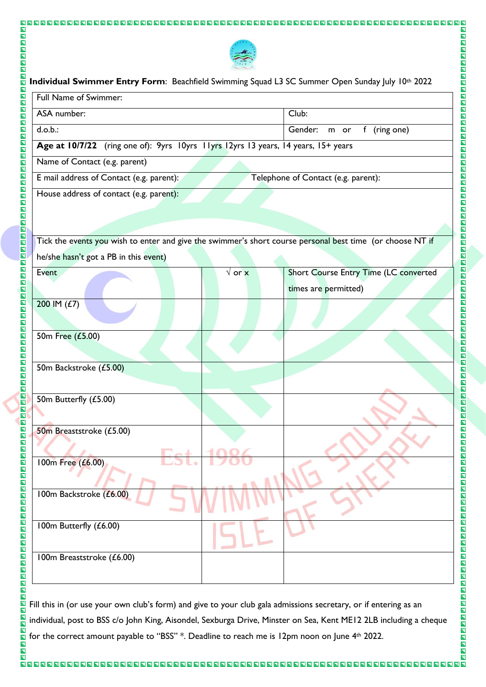

8 8 8 8 8 8 8 8 8 8 8 8 8 8 8 8 8 8 8

 $\overline{\mathbf{N}}$ 

000000000000000000000

**OOOOOOOOOOO** 

**NAGE** 

0000000000

回回

IN<br>D  $\overline{\blacksquare}$  $\blacksquare$ 

**REBEER** 

ia<br>El  $\overline{\mathbf{E}}$  $\overline{\mathbf{N}}$ 

**NNDDDD** 

000000000000000000

靣

 $\overline{\mathbf{N}}$ 

888888888888888888888888888

 $\overline{\blacksquare}$ 

OOO

00000000000000000

OOOO

同

**BBBBBBBBB** 

00000000000000

OOO

 $\blacksquare$ 

OOOOOOOO

OOOO

INDIN

OOOO

 $\blacksquare$  $\blacksquare$ 

OOO

靣  $\overline{\blacksquare}$ 

 $\overline{\mathbf{N}}$  $\mathbf{E}$ 

回

# **Individual Swimmer Entry Form: Beachfield Swimming Squad L3 SC Summer Open Sunday July 10th 2022** Full Name of Swimmer: ASA number:  $\vert$  Club: d.o.b.: Gender: m or f (ring one) **Age at 10/7/22** (ring one of): 9yrs 10yrs 11yrs 12yrs 13 years, 14 years, 15+ years Name of Contact (e.g. parent) E mail address of Contact (e.g. parent): Telephone of Contact (e.g. parent): House address of contact (e.g. parent): Tick the events you wish to enter and give the swimmer's short course personal best time (or choose NT if he/she hasn't got a PB in this event) Event √ or x Short Course Entry Time (LC converted times are permitted) 200 IM (£7) 50m Free (£5.00) 50m Backstroke (£5.00) 50m Butterfly (£5.00) 50m Breaststroke (£5.00) 100m Free (£6.00) 100m Backstroke (£6.00) 100m Butterfly (£6.00) 100m Breaststroke (£6.00)

Fill this in (or use your own club's form) and give to your club gala admissions secretary, or if entering as an individual, post to BSS c/o John King, Aisondel, Sexburga Drive, Minster on Sea, Kent ME12 2LB including a cheque for the correct amount payable to "BSS" \*. Deadline to reach me is 12pm noon on June 4th 2022.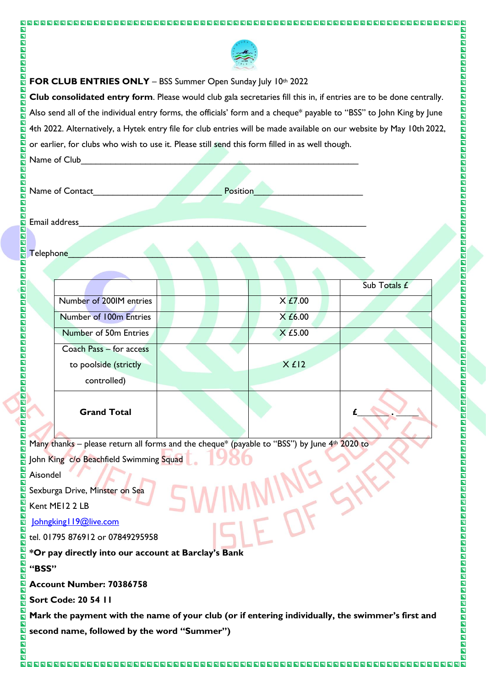

 $\overline{\mathbf{N}}$ 

00000000000

**OOOOOOOOOOO** 

00000000000

**NAGE** 

OOOO

OOOO

回回  $\overline{\mathbf{E}}$  $\overline{\blacksquare}$ 

 $\blacksquare$ 

N D D D D D D D D

 $\overline{\mathbf{z}}$ 

 $\overline{\mathbf{N}}$ 

000000000000000

**N N N N N N N N** 

靣

 $\overline{\blacksquare}$ 

同

### **FOR CLUB ENTRIES ONLY** - BSS Summer Open Sunday July 10th 2022

**Club consolidated entry form**. Please would club gala secretaries fill this in, if entries are to be done centrally. Also send all of the individual entry forms, the officials' form and a cheque\* payable to "BSS" to John King by June 4th 2022. Alternatively, a Hytek entry file for club entries will be made available on our website by May 10th 2022, or earlier, for clubs who wish to use it. Please still send this form filled in as well though.

Name of Club

 $\blacksquare$  $\overline{\blacksquare}$ 

 $\overline{\mathbf{u}}$ 

BODO

Ē 靣  $\overline{\mathbf{E}}$  $\overline{\blacksquare}$  $\overline{\mathbf{z}}$  $\blacksquare$ 

 $\overline{\mathbf{N}}$ INDIN 同  $\overline{\blacksquare}$ 

同

OOOO

OOO

同 同

**NNNNN** 

**BBBBBBBBB** 

 $\blacksquare$ 

OOOO

 $\overline{\mathbf{p}}$  $\overline{\blacksquare}$ EE  $\overline{\blacksquare}$ 

 $\blacksquare$ 

 $\blacksquare$ 

OOO

 $\overline{\blacksquare}$  $\overline{\blacksquare}$  $\overline{\blacksquare}$  $\overline{\blacksquare}$ **ELE** 

OOO

 $\blacksquare$ 

 $\overline{\mathbf{u}}$  $\overline{\blacksquare}$ 

**NN**  $\overline{\mathbf{p}}$  $\overline{\blacksquare}$ 

 $\overline{\blacksquare}$  $\overline{\mathbf{N}}$ 

回

0000000000000000000

| $\Box$ IName or Club    |          |
|-------------------------|----------|
| $\overline{\mathbf{z}}$ |          |
| 回                       |          |
| 囗                       |          |
| Name of Contact         | Position |
|                         |          |
| $\overline{\mathbf{N}}$ |          |
| $\blacksquare$          |          |
| $\overline{\mathbf{N}}$ |          |

Email address

Telephone

|                         |         | Sub Totals £ |
|-------------------------|---------|--------------|
| Number of 200IM entries | X E7.00 |              |
| Number of 100m Entries  | X f6.00 |              |
| Number of 50m Entries   | X £5.00 |              |
| Coach Pass - for access |         |              |
| to poolside (strictly   | Xf12    |              |
| controlled)             |         |              |
| <b>Grand Total</b>      |         |              |

Many thanks – please return all forms and the cheque\* (payable to "BSS") by June  $4<sup>th</sup>$  2020 to

John King c/o Beachfield Swimming Squad

Aisondel

Sexburga Drive, Minster on Sea

Kent ME12 2 LB

Johngking | 19@live.com

tel. 01795 876912 or 07849295958

**\*Or pay directly into our account at Barclay's Bank**

### **"BSS"**

**Account Number: 70386758**

**Sort Code: 20 54 11**

**Mark the payment with the name of your club (or if entering individually, the swimmer's first and second name, followed by the word "Summer")**